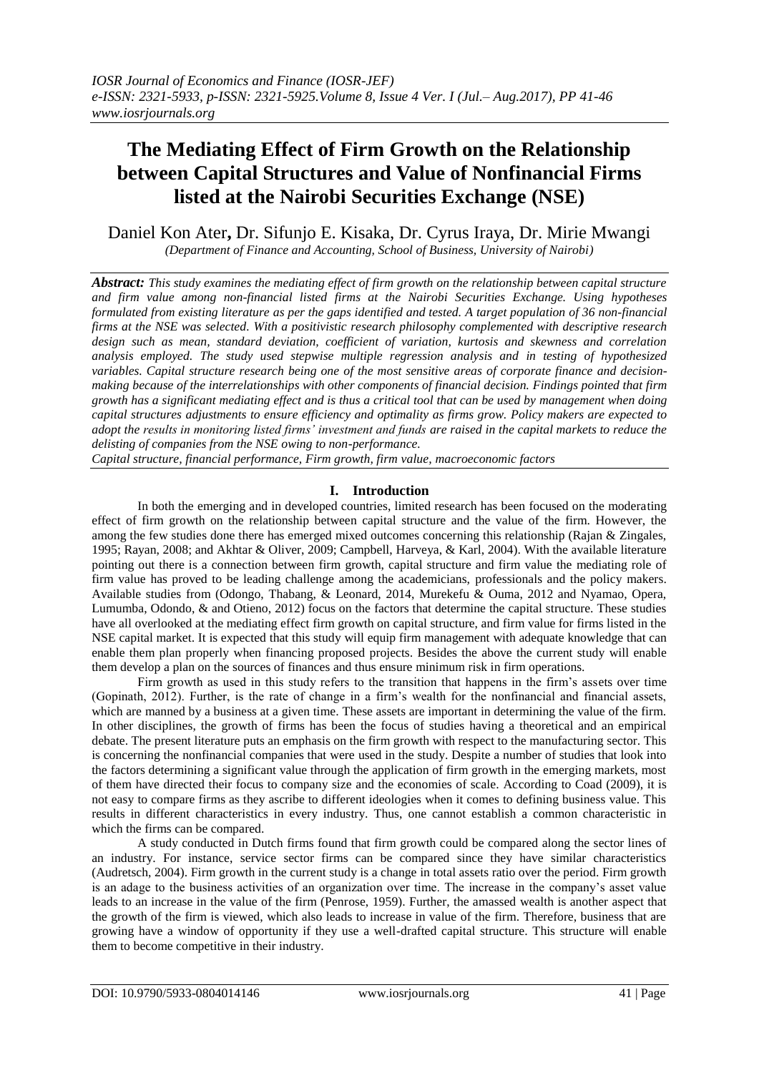## **The Mediating Effect of Firm Growth on the Relationship between Capital Structures and Value of Nonfinancial Firms listed at the Nairobi Securities Exchange (NSE)**

Daniel Kon Ater**,** Dr. Sifunjo E. Kisaka, Dr. Cyrus Iraya, Dr. Mirie Mwangi *(Department of Finance and Accounting, School of Business, University of Nairobi)*

*Abstract: This study examines the mediating effect of firm growth on the relationship between capital structure and firm value among non-financial listed firms at the Nairobi Securities Exchange. Using hypotheses formulated from existing literature as per the gaps identified and tested. A target population of 36 non-financial firms at the NSE was selected. With a positivistic research philosophy complemented with descriptive research design such as mean, standard deviation, coefficient of variation, kurtosis and skewness and correlation analysis employed. The study used stepwise multiple regression analysis and in testing of hypothesized variables. Capital structure research being one of the most sensitive areas of corporate finance and decisionmaking because of the interrelationships with other components of financial decision. Findings pointed that firm growth has a significant mediating effect and is thus a critical tool that can be used by management when doing capital structures adjustments to ensure efficiency and optimality as firms grow. Policy makers are expected to adopt the results in monitoring listed firms' investment and funds are raised in the capital markets to reduce the delisting of companies from the NSE owing to non-performance.* 

*Capital structure, financial performance, Firm growth, firm value, macroeconomic factors*

## **I. Introduction**

In both the emerging and in developed countries, limited research has been focused on the moderating effect of firm growth on the relationship between capital structure and the value of the firm. However, the among the few studies done there has emerged mixed outcomes concerning this relationship (Rajan & Zingales, 1995; Rayan, 2008; and Akhtar & Oliver, 2009; Campbell, Harveya, & Karl, 2004). With the available literature pointing out there is a connection between firm growth, capital structure and firm value the mediating role of firm value has proved to be leading challenge among the academicians, professionals and the policy makers. Available studies from (Odongo, Thabang, & Leonard, 2014, Murekefu & Ouma, 2012 and Nyamao, Opera, Lumumba, Odondo, & and Otieno, 2012) focus on the factors that determine the capital structure. These studies have all overlooked at the mediating effect firm growth on capital structure, and firm value for firms listed in the NSE capital market. It is expected that this study will equip firm management with adequate knowledge that can enable them plan properly when financing proposed projects. Besides the above the current study will enable them develop a plan on the sources of finances and thus ensure minimum risk in firm operations.

Firm growth as used in this study refers to the transition that happens in the firm's assets over time (Gopinath, 2012). Further, is the rate of change in a firm's wealth for the nonfinancial and financial assets, which are manned by a business at a given time. These assets are important in determining the value of the firm. In other disciplines, the growth of firms has been the focus of studies having a theoretical and an empirical debate. The present literature puts an emphasis on the firm growth with respect to the manufacturing sector. This is concerning the nonfinancial companies that were used in the study. Despite a number of studies that look into the factors determining a significant value through the application of firm growth in the emerging markets, most of them have directed their focus to company size and the economies of scale. According to Coad (2009), it is not easy to compare firms as they ascribe to different ideologies when it comes to defining business value. This results in different characteristics in every industry. Thus, one cannot establish a common characteristic in which the firms can be compared.

A study conducted in Dutch firms found that firm growth could be compared along the sector lines of an industry. For instance, service sector firms can be compared since they have similar characteristics (Audretsch, 2004). Firm growth in the current study is a change in total assets ratio over the period. Firm growth is an adage to the business activities of an organization over time. The increase in the company's asset value leads to an increase in the value of the firm (Penrose, 1959). Further, the amassed wealth is another aspect that the growth of the firm is viewed, which also leads to increase in value of the firm. Therefore, business that are growing have a window of opportunity if they use a well-drafted capital structure. This structure will enable them to become competitive in their industry.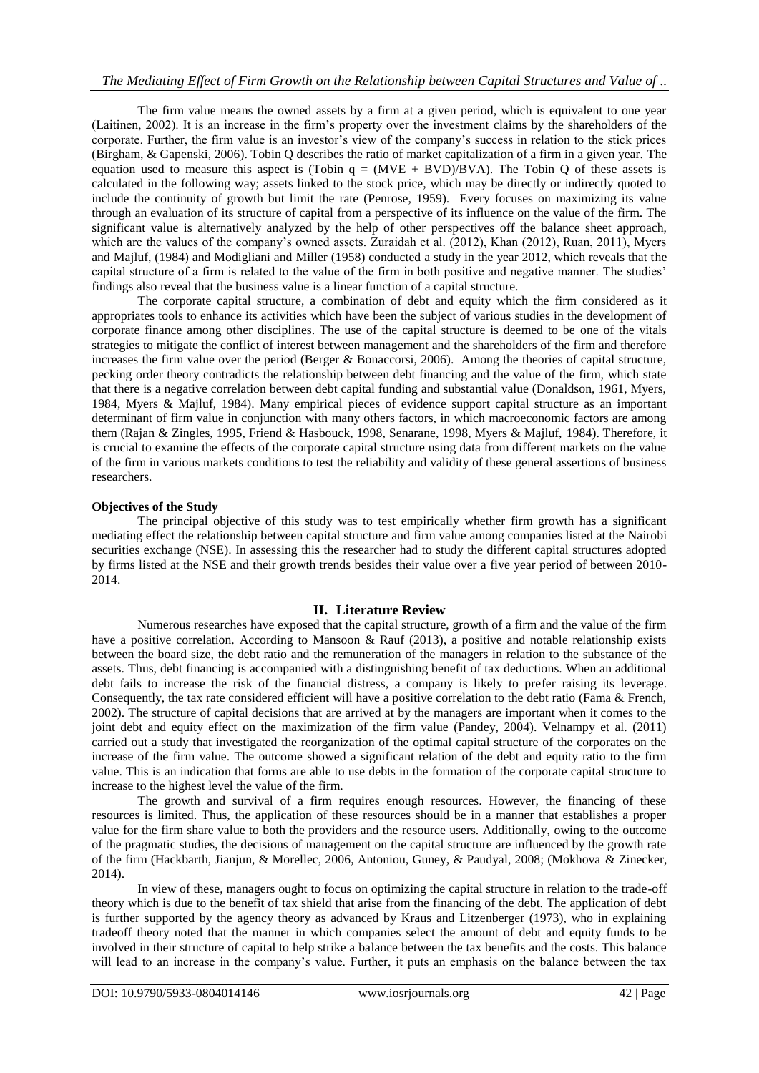The firm value means the owned assets by a firm at a given period, which is equivalent to one year (Laitinen, 2002). It is an increase in the firm's property over the investment claims by the shareholders of the corporate. Further, the firm value is an investor's view of the company's success in relation to the stick prices (Birgham, & Gapenski, 2006). Tobin Q describes the ratio of market capitalization of a firm in a given year. The equation used to measure this aspect is (Tobin  $q = (MVE + BVD)/BVA$ ). The Tobin Q of these assets is calculated in the following way; assets linked to the stock price, which may be directly or indirectly quoted to include the continuity of growth but limit the rate (Penrose, 1959). Every focuses on maximizing its value through an evaluation of its structure of capital from a perspective of its influence on the value of the firm. The significant value is alternatively analyzed by the help of other perspectives off the balance sheet approach, which are the values of the company's owned assets. Zuraidah et al. (2012), Khan (2012), Ruan, 2011), Myers and Majluf, (1984) and Modigliani and Miller (1958) conducted a study in the year 2012, which reveals that the capital structure of a firm is related to the value of the firm in both positive and negative manner. The studies' findings also reveal that the business value is a linear function of a capital structure.

The corporate capital structure, a combination of debt and equity which the firm considered as it appropriates tools to enhance its activities which have been the subject of various studies in the development of corporate finance among other disciplines. The use of the capital structure is deemed to be one of the vitals strategies to mitigate the conflict of interest between management and the shareholders of the firm and therefore increases the firm value over the period (Berger & Bonaccorsi, 2006). Among the theories of capital structure, pecking order theory contradicts the relationship between debt financing and the value of the firm, which state that there is a negative correlation between debt capital funding and substantial value (Donaldson, 1961, Myers, 1984, Myers & Majluf, 1984). Many empirical pieces of evidence support capital structure as an important determinant of firm value in conjunction with many others factors, in which macroeconomic factors are among them (Rajan & Zingles, 1995, Friend & Hasbouck, 1998, Senarane, 1998, Myers & Majluf, 1984). Therefore, it is crucial to examine the effects of the corporate capital structure using data from different markets on the value of the firm in various markets conditions to test the reliability and validity of these general assertions of business researchers.

## **Objectives of the Study**

The principal objective of this study was to test empirically whether firm growth has a significant mediating effect the relationship between capital structure and firm value among companies listed at the Nairobi securities exchange (NSE). In assessing this the researcher had to study the different capital structures adopted by firms listed at the NSE and their growth trends besides their value over a five year period of between 2010- 2014.

### **II. Literature Review**

Numerous researches have exposed that the capital structure, growth of a firm and the value of the firm have a positive correlation. According to Mansoon & Rauf (2013), a positive and notable relationship exists between the board size, the debt ratio and the remuneration of the managers in relation to the substance of the assets. Thus, debt financing is accompanied with a distinguishing benefit of tax deductions. When an additional debt fails to increase the risk of the financial distress, a company is likely to prefer raising its leverage. Consequently, the tax rate considered efficient will have a positive correlation to the debt ratio (Fama & French, 2002). The structure of capital decisions that are arrived at by the managers are important when it comes to the joint debt and equity effect on the maximization of the firm value (Pandey, 2004). Velnampy et al. (2011) carried out a study that investigated the reorganization of the optimal capital structure of the corporates on the increase of the firm value. The outcome showed a significant relation of the debt and equity ratio to the firm value. This is an indication that forms are able to use debts in the formation of the corporate capital structure to increase to the highest level the value of the firm.

The growth and survival of a firm requires enough resources. However, the financing of these resources is limited. Thus, the application of these resources should be in a manner that establishes a proper value for the firm share value to both the providers and the resource users. Additionally, owing to the outcome of the pragmatic studies, the decisions of management on the capital structure are influenced by the growth rate of the firm (Hackbarth, Jianjun, & Morellec, 2006, Antoniou, Guney, & Paudyal, 2008; (Mokhova & Zinecker, 2014).

In view of these, managers ought to focus on optimizing the capital structure in relation to the trade-off theory which is due to the benefit of tax shield that arise from the financing of the debt. The application of debt is further supported by the agency theory as advanced by Kraus and Litzenberger (1973), who in explaining tradeoff theory noted that the manner in which companies select the amount of debt and equity funds to be involved in their structure of capital to help strike a balance between the tax benefits and the costs. This balance will lead to an increase in the company's value. Further, it puts an emphasis on the balance between the tax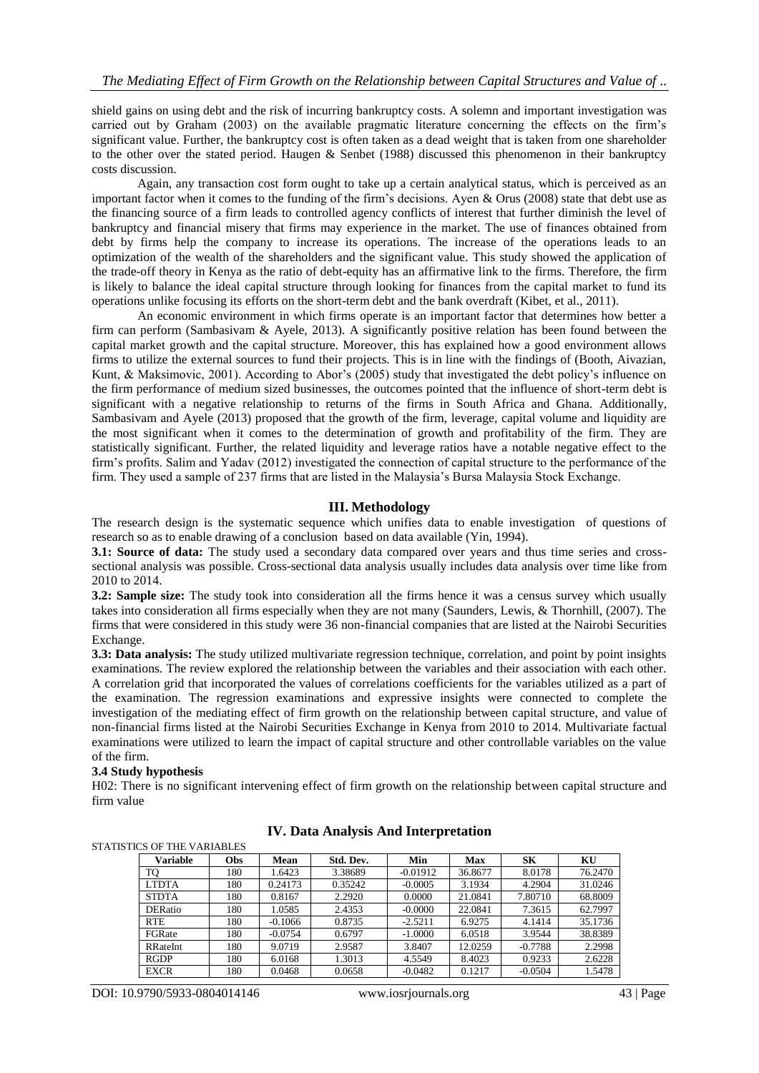shield gains on using debt and the risk of incurring bankruptcy costs. A solemn and important investigation was carried out by Graham (2003) on the available pragmatic literature concerning the effects on the firm's significant value. Further, the bankruptcy cost is often taken as a dead weight that is taken from one shareholder to the other over the stated period. Haugen & Senbet (1988) discussed this phenomenon in their bankruptcy costs discussion.

Again, any transaction cost form ought to take up a certain analytical status, which is perceived as an important factor when it comes to the funding of the firm's decisions. Ayen & Orus (2008) state that debt use as the financing source of a firm leads to controlled agency conflicts of interest that further diminish the level of bankruptcy and financial misery that firms may experience in the market. The use of finances obtained from debt by firms help the company to increase its operations. The increase of the operations leads to an optimization of the wealth of the shareholders and the significant value. This study showed the application of the trade-off theory in Kenya as the ratio of debt-equity has an affirmative link to the firms. Therefore, the firm is likely to balance the ideal capital structure through looking for finances from the capital market to fund its operations unlike focusing its efforts on the short-term debt and the bank overdraft (Kibet, et al., 2011).

An economic environment in which firms operate is an important factor that determines how better a firm can perform (Sambasivam & Ayele, 2013). A significantly positive relation has been found between the capital market growth and the capital structure. Moreover, this has explained how a good environment allows firms to utilize the external sources to fund their projects. This is in line with the findings of (Booth, Aivazian, Kunt, & Maksimovic, 2001). According to Abor's (2005) study that investigated the debt policy's influence on the firm performance of medium sized businesses, the outcomes pointed that the influence of short-term debt is significant with a negative relationship to returns of the firms in South Africa and Ghana. Additionally, Sambasivam and Ayele (2013) proposed that the growth of the firm, leverage, capital volume and liquidity are the most significant when it comes to the determination of growth and profitability of the firm. They are statistically significant. Further, the related liquidity and leverage ratios have a notable negative effect to the firm's profits. Salim and Yadav (2012) investigated the connection of capital structure to the performance of the firm. They used a sample of 237 firms that are listed in the Malaysia's Bursa Malaysia Stock Exchange.

## **III. Methodology**

The research design is the systematic sequence which unifies data to enable investigation of questions of research so as to enable drawing of a conclusion based on data available (Yin, 1994).

**3.1: Source of data:** The study used a secondary data compared over years and thus time series and crosssectional analysis was possible. Cross-sectional data analysis usually includes data analysis over time like from 2010 to 2014.

**3.2: Sample size:** The study took into consideration all the firms hence it was a census survey which usually takes into consideration all firms especially when they are not many (Saunders, Lewis, & Thornhill, (2007). The firms that were considered in this study were 36 non-financial companies that are listed at the Nairobi Securities Exchange.

**3.3: Data analysis:** The study utilized multivariate regression technique, correlation, and point by point insights examinations. The review explored the relationship between the variables and their association with each other. A correlation grid that incorporated the values of correlations coefficients for the variables utilized as a part of the examination. The regression examinations and expressive insights were connected to complete the investigation of the mediating effect of firm growth on the relationship between capital structure, and value of non-financial firms listed at the Nairobi Securities Exchange in Kenya from 2010 to 2014. Multivariate factual examinations were utilized to learn the impact of capital structure and other controllable variables on the value of the firm.

## **3.4 Study hypothesis**

STATISTICS OF THE VARIABLES

H02: There is no significant intervening effect of firm growth on the relationship between capital structure and firm value

| Variable        | Obs | Mean      | Std. Dev. | Min        | Max     | SК        | KU      |
|-----------------|-----|-----------|-----------|------------|---------|-----------|---------|
| TQ              | 180 | 1.6423    | 3.38689   | $-0.01912$ | 36.8677 | 8.0178    | 76.2470 |
| LTDTA           | 180 | 0.24173   | 0.35242   | $-0.0005$  | 3.1934  | 4.2904    | 31.0246 |
| <b>STDTA</b>    | 180 | 0.8167    | 2.2920    | 0.0000     | 21.0841 | 7.80710   | 68.8009 |
| <b>DERatio</b>  | 180 | 1.0585    | 2.4353    | $-0.0000$  | 22.0841 | 7.3615    | 62.7997 |
| <b>RTE</b>      | 180 | $-0.1066$ | 0.8735    | $-2.5211$  | 6.9275  | 4.1414    | 35.1736 |
| <b>FGRate</b>   | 180 | $-0.0754$ | 0.6797    | $-1.0000$  | 6.0518  | 3.9544    | 38.8389 |
| <b>RRateInt</b> | 180 | 9.0719    | 2.9587    | 3.8407     | 12.0259 | $-0.7788$ | 2.2998  |
| <b>RGDP</b>     | 180 | 6.0168    | 1.3013    | 4.5549     | 8.4023  | 0.9233    | 2.6228  |
| <b>EXCR</b>     | 180 | 0.0468    | 0.0658    | $-0.0482$  | 0.1217  | $-0.0504$ | 1.5478  |

## **IV. Data Analysis And Interpretation**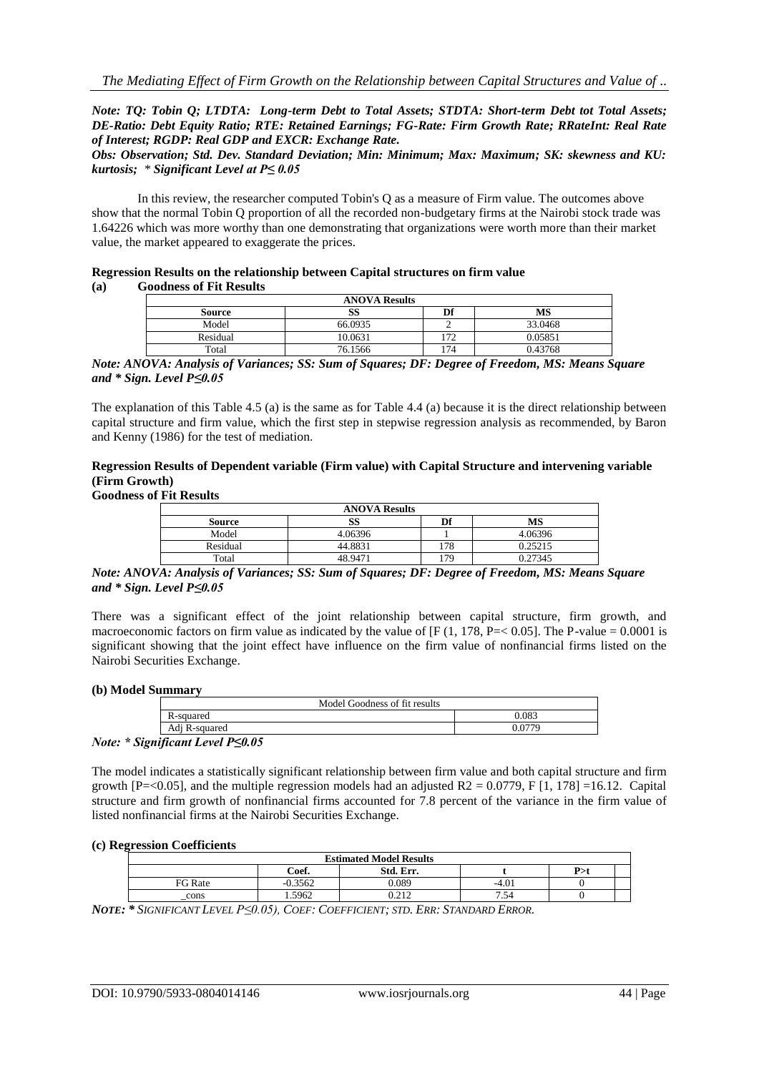*Note: TQ: Tobin Q; LTDTA: Long-term Debt to Total Assets; STDTA: Short-term Debt tot Total Assets; DE-Ratio: Debt Equity Ratio; RTE: Retained Earnings; FG-Rate: Firm Growth Rate; RRateInt: Real Rate of Interest; RGDP: Real GDP and EXCR: Exchange Rate.*

*Obs: Observation; Std. Dev. Standard Deviation; Min: Minimum; Max: Maximum; SK: skewness and KU: kurtosis; \* Significant Level at P≤ 0.05*

In this review, the researcher computed Tobin's Q as a measure of Firm value. The outcomes above show that the normal Tobin Q proportion of all the recorded non-budgetary firms at the Nairobi stock trade was 1.64226 which was more worthy than one demonstrating that organizations were worth more than their market value, the market appeared to exaggerate the prices.

|     | Regression Results on the relationship between Capital structures on firm value |
|-----|---------------------------------------------------------------------------------|
| (a) | <b>Goodness of Fit Results</b>                                                  |

| <b>ANOVA Results</b> |         |     |         |  |  |
|----------------------|---------|-----|---------|--|--|
| Source               | SS      | Df  | MS      |  |  |
| Model                | 66.0935 |     | 33.0468 |  |  |
| Residual             | 10.0631 | 172 | 0.05851 |  |  |
| Total                | 76.1566 | 174 | 0.43768 |  |  |

*Note: ANOVA: Analysis of Variances; SS: Sum of Squares; DF: Degree of Freedom, MS: Means Square and \* Sign. Level P≤0.05*

The explanation of this Table 4.5 (a) is the same as for Table 4.4 (a) because it is the direct relationship between capital structure and firm value, which the first step in stepwise regression analysis as recommended, by Baron and Kenny (1986) for the test of mediation.

## **Regression Results of Dependent variable (Firm value) with Capital Structure and intervening variable (Firm Growth)**

## **Goodness of Fit Results**

| <b>ANOVA Results</b> |         |     |         |  |  |  |
|----------------------|---------|-----|---------|--|--|--|
| <b>Source</b>        | SS      | Df  | МS      |  |  |  |
| Model                | 4.06396 |     | 4.06396 |  |  |  |
| Residual             | 44.8831 | 178 | 0.25215 |  |  |  |
| Total                | 48.9471 | 179 | 0.27345 |  |  |  |

*Note: ANOVA: Analysis of Variances; SS: Sum of Squares; DF: Degree of Freedom, MS: Means Square and \* Sign. Level P≤0.05*

There was a significant effect of the joint relationship between capital structure, firm growth, and macroeconomic factors on firm value as indicated by the value of  $[F(1, 178, P=< 0.05]$ . The P-value = 0.0001 is significant showing that the joint effect have influence on the firm value of nonfinancial firms listed on the Nairobi Securities Exchange.

#### **(b) Model Summary**

| Model Goodness of fit results                                                 |       |
|-------------------------------------------------------------------------------|-------|
| R-squared                                                                     | 0.083 |
| Adi R-squared                                                                 |       |
| $\mathbf{r}$ $\mathbf{r}$ $\mathbf{r}$ $\mathbf{r}$ $\mathbf{r}$ $\mathbf{r}$ |       |

*Note: \* Significant Level P≤0.05*

The model indicates a statistically significant relationship between firm value and both capital structure and firm growth [P=<0.05], and the multiple regression models had an adjusted  $R2 = 0.0779$ , F [1, 178] =16.12. Capital structure and firm growth of nonfinancial firms accounted for 7.8 percent of the variance in the firm value of listed nonfinancial firms at the Nairobi Securities Exchange.

#### **(c) Regression Coefficients**

| <b>Estimated Model Results</b> |           |         |     |  |  |  |
|--------------------------------|-----------|---------|-----|--|--|--|
| Coef.                          | Std. Err. |         | P>1 |  |  |  |
| .3562                          | 0.089     | $-4.01$ |     |  |  |  |
| .5962                          | 0.212     | - ت     |     |  |  |  |
|                                |           |         |     |  |  |  |

NOTE: \* SIGNIFICANT LEVEL P<0.05), COEF: COEFFICIENT; STD. ERR: STANDARD ERROR.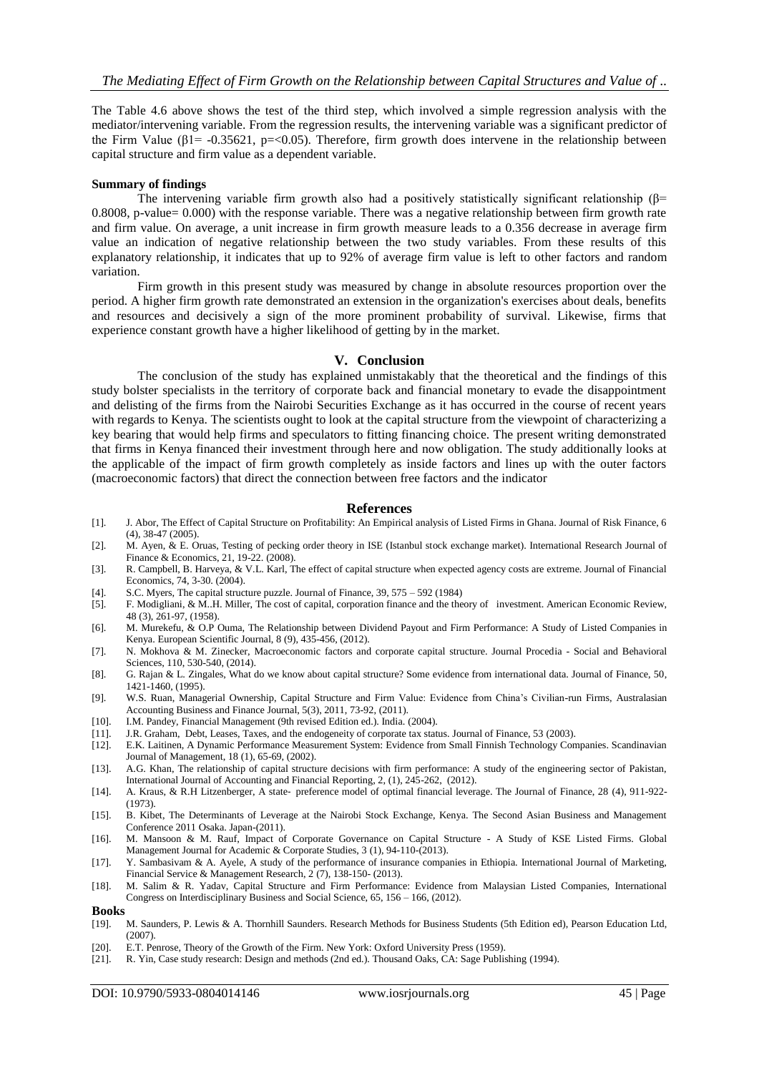The Table 4.6 above shows the test of the third step, which involved a simple regression analysis with the mediator/intervening variable. From the regression results, the intervening variable was a significant predictor of the Firm Value ( $\beta$ 1= -0.35621, p=<0.05). Therefore, firm growth does intervene in the relationship between capital structure and firm value as a dependent variable.

#### **Summary of findings**

The intervening variable firm growth also had a positively statistically significant relationship ( $\beta$ = 0.8008, p-value= 0.000) with the response variable. There was a negative relationship between firm growth rate and firm value. On average, a unit increase in firm growth measure leads to a 0.356 decrease in average firm value an indication of negative relationship between the two study variables. From these results of this explanatory relationship, it indicates that up to 92% of average firm value is left to other factors and random variation.

Firm growth in this present study was measured by change in absolute resources proportion over the period. A higher firm growth rate demonstrated an extension in the organization's exercises about deals, benefits and resources and decisively a sign of the more prominent probability of survival. Likewise, firms that experience constant growth have a higher likelihood of getting by in the market.

#### **V. Conclusion**

The conclusion of the study has explained unmistakably that the theoretical and the findings of this study bolster specialists in the territory of corporate back and financial monetary to evade the disappointment and delisting of the firms from the Nairobi Securities Exchange as it has occurred in the course of recent years with regards to Kenya. The scientists ought to look at the capital structure from the viewpoint of characterizing a key bearing that would help firms and speculators to fitting financing choice. The present writing demonstrated that firms in Kenya financed their investment through here and now obligation. The study additionally looks at the applicable of the impact of firm growth completely as inside factors and lines up with the outer factors (macroeconomic factors) that direct the connection between free factors and the indicator

#### **References**

- [1]. J. Abor, The Effect of Capital Structure on Profitability: An Empirical analysis of Listed Firms in Ghana. Journal of Risk Finance, 6 (4), 38-47 (2005).
- [2]. M. Ayen, & E. Oruas, Testing of pecking order theory in ISE (Istanbul stock exchange market). International Research Journal of Finance & Economics, 21, 19-22. (2008).
- [3]. R. Campbell, B. Harveya, & V.L. Karl, The effect of capital structure when expected agency costs are extreme. Journal of Financial Economics, 74, 3-30. (2004).
- [4]. S.C. Myers, The capital structure puzzle. Journal of Finance, 39, 575 592 (1984) [5]. F. Modigliani, & M.H. Miller, The cost of capital, corporation finance and the the
- [5]. F. Modigliani, & M..H. Miller, The cost of capital, corporation finance and the theory of investment. American Economic Review, 48 (3), 261-97, (1958).
- [6]. M. Murekefu, & O.P Ouma, The Relationship between Dividend Payout and Firm Performance: A Study of Listed Companies in Kenya. European Scientific Journal, 8 (9), 435-456, (2012).
- [7]. N. Mokhova & M. Zinecker, Macroeconomic factors and corporate capital structure. Journal Procedia Social and Behavioral Sciences, 110, 530-540, (2014).
- [8]. G. Rajan & L. Zingales, What do we know about capital structure? Some evidence from international data. Journal of Finance, 50, 1421-1460, (1995).
- [9]. W.S. Ruan, Managerial Ownership, Capital Structure and Firm Value: Evidence from China's Civilian-run Firms, Australasian Accounting Business and Finance Journal, 5(3), 2011, 73-92, (2011).
- [10]. I.M. Pandey, Financial Management (9th revised Edition ed.). India. (2004).
- [11]. J.R. Graham, Debt, Leases, Taxes, and the endogeneity of corporate tax status. Journal of Finance, 53 (2003).
- [12]. E.K. Laitinen, A Dynamic Performance Measurement System: Evidence from Small Finnish Technology Companies. Scandinavian Journal of Management, 18 (1), 65-69, (2002).
- [13]. A.G. Khan, The relationship of capital structure decisions with firm performance: A study of the engineering sector of Pakistan, International Journal of Accounting and Financial Reporting, 2, (1), 245-262, (2012).
- [14]. A. Kraus, & R.H Litzenberger, A state- preference model of optimal financial leverage. The Journal of Finance, 28 (4), 911-922-(1973).
- [15]. B. Kibet, The Determinants of Leverage at the Nairobi Stock Exchange, Kenya. The Second Asian Business and Management Conference 2011 Osaka. Japan-(2011).
- [16]. M. Mansoon & M. Rauf, Impact of Corporate Governance on Capital Structure A Study of KSE Listed Firms. Global Management Journal for Academic & Corporate Studies, 3 (1), 94-110-(2013).
- [17]. Y. Sambasivam & A. Ayele, A study of the performance of insurance companies in Ethiopia. International Journal of Marketing, Financial Service & Management Research, 2 (7), 138-150- (2013).
- [18]. M. Salim & R. Yadav, Capital Structure and Firm Performance: Evidence from Malaysian Listed Companies, International Congress on Interdisciplinary Business and Social Science, 65, 156 – 166, (2012).

#### **Books**

- [19]. M. Saunders, P. Lewis & A. Thornhill Saunders. Research Methods for Business Students (5th Edition ed), Pearson Education Ltd, (2007).
- [20]. E.T. Penrose, Theory of the Growth of the Firm. New York: Oxford University Press (1959). [21]. R. Yin, Case study research: Design and methods (2nd ed.). Thousand Oaks, CA: Sage Publis
- [21]. R. Yin, Case study research: Design and methods (2nd ed.). Thousand Oaks, CA: Sage Publishing (1994).